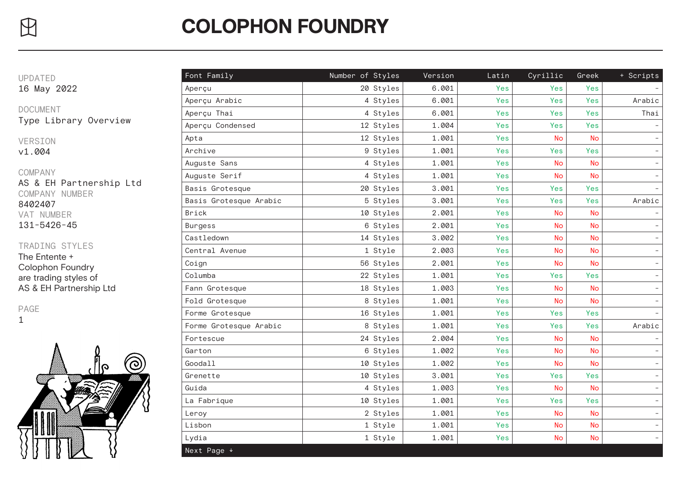VERSION

v1.004

PAGE



| $\bigoplus$                               | <b>COLOPHON FOUNDRY</b> |                  |         |       |           |           |                          |  |  |
|-------------------------------------------|-------------------------|------------------|---------|-------|-----------|-----------|--------------------------|--|--|
|                                           |                         |                  |         |       |           |           |                          |  |  |
| <b>UPDATED</b>                            | Font Family             | Number of Styles | Version | Latin | Cyrillic  | Greek     | + Scripts                |  |  |
| 16 May 2022                               | Aperçu                  | 20 Styles        | 6.001   | Yes   | Yes       | Yes       |                          |  |  |
| <b>DOCUMENT</b><br>Type Library Overview  | Aperçu Arabic           | 4 Styles         | 6.001   | Yes   | Yes       | Yes       | Arabic                   |  |  |
|                                           | Aperçu Thai             | 4 Styles         | 6.001   | Yes   | Yes       | Yes       | Thai                     |  |  |
|                                           | Aperçu Condensed        | 12 Styles        | 1.004   | Yes   | Yes       | Yes       |                          |  |  |
| VERSION<br>v1.004                         | Apta                    | 12 Styles        | 1.001   | Yes   | <b>No</b> | <b>No</b> |                          |  |  |
|                                           | Archive                 | 9 Styles         | 1.001   | Yes   | Yes       | Yes       |                          |  |  |
|                                           | Auguste Sans            | 4 Styles         | 1.001   | Yes   | <b>No</b> | <b>No</b> |                          |  |  |
| COMPANY                                   | Auguste Serif           | 4 Styles         | 1.001   | Yes   | <b>No</b> | <b>No</b> |                          |  |  |
| AS & EH Partnership Ltd<br>COMPANY NUMBER | Basis Grotesque         | 20 Styles        | 3.001   | Yes   | Yes       | Yes       |                          |  |  |
| 8402407                                   | Basis Grotesque Arabic  | 5 Styles         | 3.001   | Yes   | Yes       | Yes       | Arabic                   |  |  |
| VAT NUMBER                                | Brick                   | 10 Styles        | 2.001   | Yes   | <b>No</b> | <b>No</b> |                          |  |  |
| 131-5426-45                               | Burgess                 | 6 Styles         | 2.001   | Yes   | <b>No</b> | <b>No</b> |                          |  |  |
|                                           | Castledown              | 14 Styles        | 3.002   | Yes   | <b>No</b> | <b>No</b> |                          |  |  |
| TRADING STYLES                            | Central Avenue          | 1 Style          | 2.003   | Yes   | <b>No</b> | <b>No</b> |                          |  |  |
| The Entente +                             | Coign                   | 56 Styles        | 2.001   | Yes   | <b>No</b> | <b>No</b> |                          |  |  |
| Colophon Foundry<br>are trading styles of | Columba                 | 22 Styles        | 1.001   | Yes   | Yes       | Yes       |                          |  |  |
| AS & EH Partnership Ltd                   | Fann Grotesque          | 18 Styles        | 1.003   | Yes   | <b>No</b> | <b>No</b> |                          |  |  |
|                                           | Fold Grotesque          | 8 Styles         | 1.001   | Yes   | <b>No</b> | <b>No</b> |                          |  |  |
| PAGE<br>1<br>Q                            | Forme Grotesque         | 16 Styles        | 1.001   | Yes   | Yes       | Yes       |                          |  |  |
|                                           | Forme Grotesque Arabic  | 8 Styles         | 1.001   | Yes   | Yes       | Yes       | Arabic                   |  |  |
|                                           | Fortescue               | 24 Styles        | 2.004   | Yes   | <b>No</b> | <b>No</b> |                          |  |  |
|                                           | Garton                  | 6 Styles         | 1.002   | Yes   | <b>No</b> | <b>No</b> |                          |  |  |
|                                           | Goodall                 | 10 Styles        | 1.002   | Yes   | <b>No</b> | <b>No</b> |                          |  |  |
|                                           | Grenette                | 10 Styles        | 3.001   | Yes   | Yes       | Yes       |                          |  |  |
|                                           | Guida                   | 4 Styles         | 1.003   | Yes   | <b>No</b> | No        |                          |  |  |
|                                           | La Fabrique             | 10 Styles        | 1.001   | Yes   | Yes       | Yes       |                          |  |  |
|                                           | Leroy                   | 2 Styles         | 1.001   | Yes   | <b>No</b> | <b>No</b> |                          |  |  |
|                                           | Lisbon                  | 1 Style          | 1.001   | Yes   | <b>No</b> | <b>No</b> | $\overline{\phantom{a}}$ |  |  |
|                                           | Lydia                   | 1 Style          | 1.001   | Yes   | <b>No</b> | <b>No</b> |                          |  |  |
|                                           | Next Page +             |                  |         |       |           |           |                          |  |  |